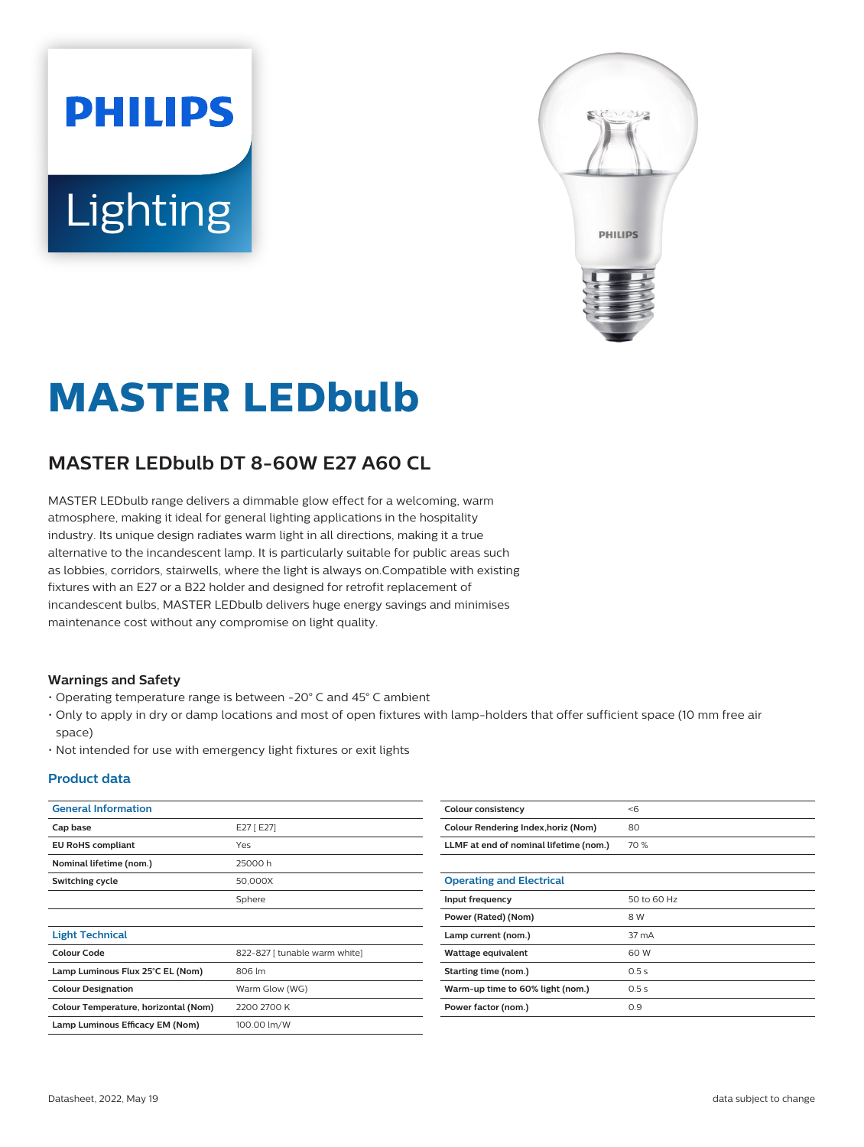# **PHILIPS** Lighting



# **MASTER LEDbulb**

# **MASTER LEDbulb DT 8-60W E27 A60 CL**

MASTER LEDbulb range delivers a dimmable glow effect for a welcoming, warm atmosphere, making it ideal for general lighting applications in the hospitality industry. Its unique design radiates warm light in all directions, making it a true alternative to the incandescent lamp. It is particularly suitable for public areas such as lobbies, corridors, stairwells, where the light is always on.Compatible with existing fixtures with an E27 or a B22 holder and designed for retrofit replacement of incandescent bulbs, MASTER LEDbulb delivers huge energy savings and minimises maintenance cost without any compromise on light quality.

#### **Warnings and Safety**

- Operating temperature range is between -20° C and 45° C ambient
- Only to apply in dry or damp locations and most of open fixtures with lamp-holders that offer sufficient space (10 mm free air space)
- Not intended for use with emergency light fixtures or exit lights

#### **Product data**

| <b>General Information</b>           |                               | <b>Colour consistency</b>              | < 6         |
|--------------------------------------|-------------------------------|----------------------------------------|-------------|
| Cap base                             | E27 [ E27]                    | Colour Rendering Index, horiz (Nom)    | 80          |
| <b>EU RoHS compliant</b>             | Yes                           | LLMF at end of nominal lifetime (nom.) | 70 %        |
| Nominal lifetime (nom.)              | 25000h                        |                                        |             |
| Switching cycle                      | 50,000X                       | <b>Operating and Electrical</b>        |             |
|                                      | Sphere                        | Input frequency                        | 50 to 60 Hz |
|                                      |                               | Power (Rated) (Nom)                    | 8 W         |
| <b>Light Technical</b>               |                               | Lamp current (nom.)                    | 37 mA       |
| <b>Colour Code</b>                   | 822-827 [ tunable warm white] | Wattage equivalent                     | 60 W        |
| Lamp Luminous Flux 25°C EL (Nom)     | 806 lm                        | Starting time (nom.)                   | 0.5s        |
| <b>Colour Designation</b>            | Warm Glow (WG)                | Warm-up time to 60% light (nom.)       | 0.5s        |
| Colour Temperature, horizontal (Nom) | 2200 2700 K                   | Power factor (nom.)                    | 0.9         |
| Lamp Luminous Efficacy EM (Nom)      | 100.00 lm/W                   |                                        |             |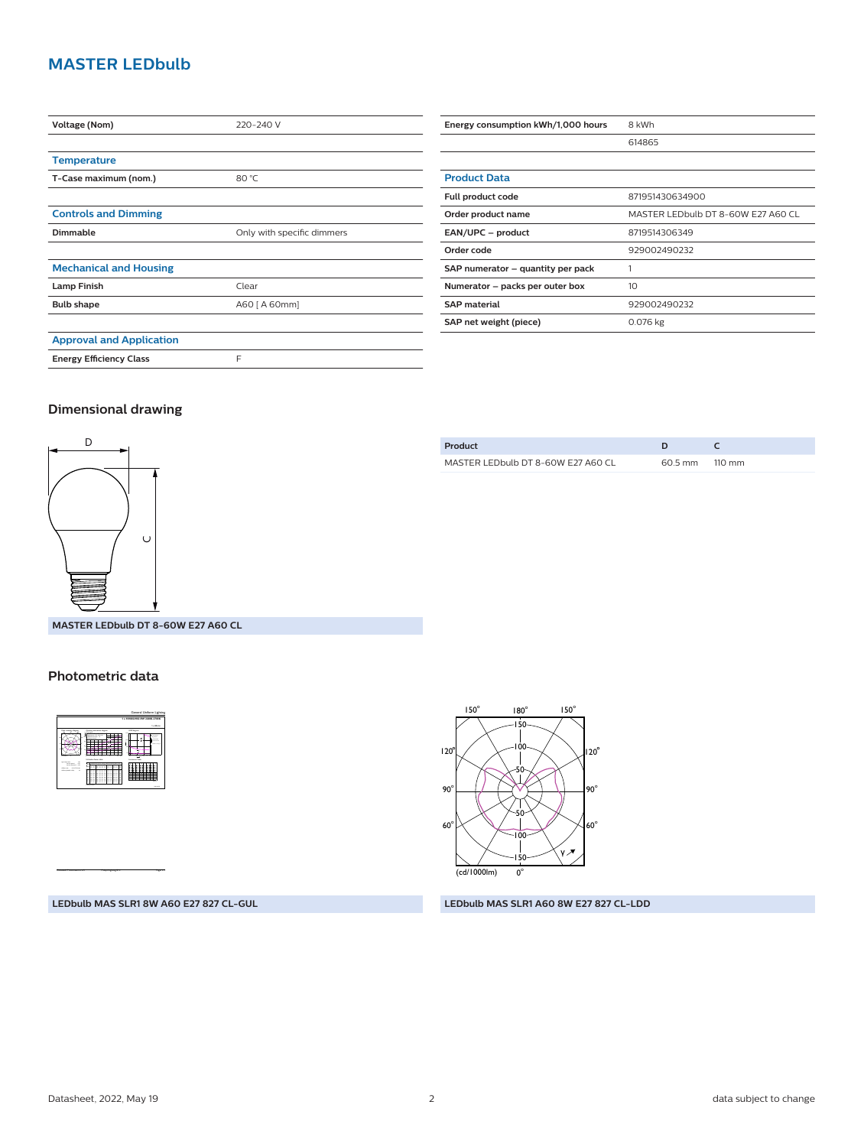### **MASTER LEDbulb**

| Voltage (Nom)                   | 220-240 V                  |  |
|---------------------------------|----------------------------|--|
|                                 |                            |  |
| <b>Temperature</b>              |                            |  |
| T-Case maximum (nom.)           | 80 °C                      |  |
|                                 |                            |  |
| <b>Controls and Dimming</b>     |                            |  |
| Dimmable                        | Only with specific dimmers |  |
|                                 |                            |  |
| <b>Mechanical and Housing</b>   |                            |  |
| <b>Lamp Finish</b>              | Clear                      |  |
| <b>Bulb shape</b>               | A60 [ A 60mm]              |  |
|                                 |                            |  |
| <b>Approval and Application</b> |                            |  |
| <b>Energy Efficiency Class</b>  | F                          |  |

| Energy consumption kWh/1,000 hours | 8 kWh                              |
|------------------------------------|------------------------------------|
|                                    | 614865                             |
|                                    |                                    |
| <b>Product Data</b>                |                                    |
| Full product code                  | 871951430634900                    |
| Order product name                 | MASTER LEDbulb DT 8-60W E27 A60 CL |
| EAN/UPC - product                  | 8719514306349                      |
| Order code                         | 929002490232                       |
| SAP numerator - quantity per pack  |                                    |
| Numerator – packs per outer box    | 10                                 |
| <b>SAP</b> material                | 929002490232                       |
| SAP net weight (piece)             | 0.076 kg                           |

#### **Dimensional drawing**



**Product D C** MASTER LEDbulb DT 8-60W E27 A60 CL 60.5 mm 110 mm

**MASTER LEDbulb DT 8-60W E27 A60 CL**

#### **Photometric data**



CalcuLuX Photometrics 4.5 Philips Lighting B.V. Page: 1/1



**LEDbulb MAS SLR1 8W A60 E27 827 CL-GUL**

#### **LEDbulb MAS SLR1 A60 8W E27 827 CL-LDD**